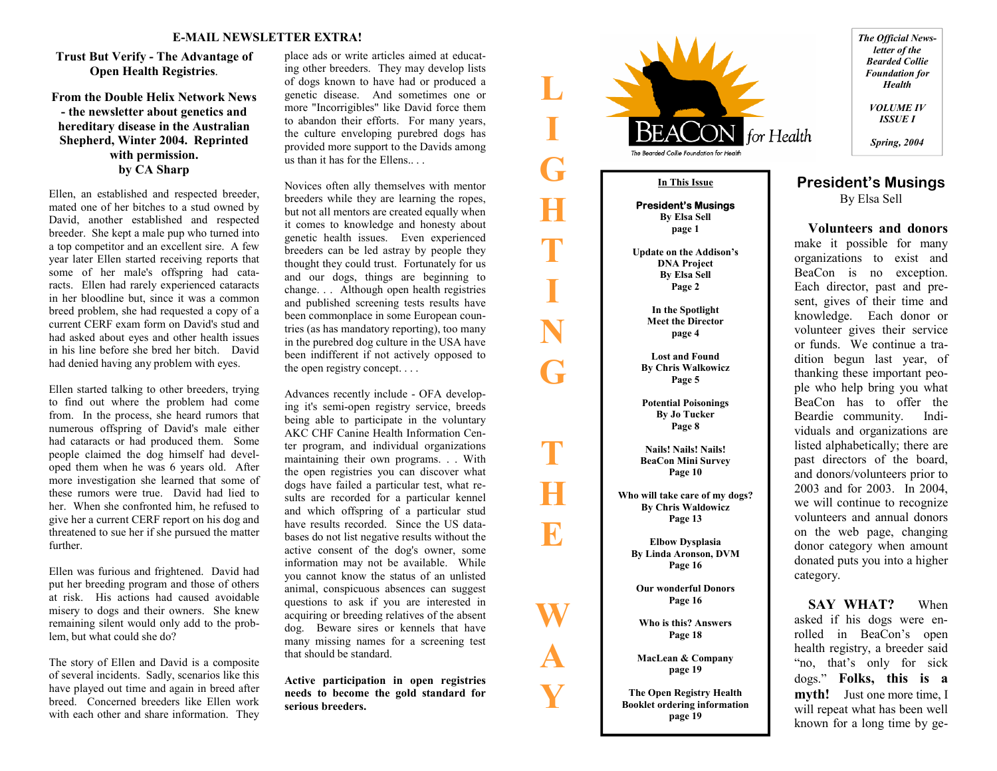# **Trust But Verify - The Advantage of Open Health Registries**.

**From the Double Helix Network News - the newsletter about genetics and hereditary disease in the Australian Shepherd, Winter 2004. Reprinted with permission. by CA Sharp** 

Ellen, an established and respected breeder,<br>mated one of her bitches to a stud owned by<br>David, another established and respected<br>breeder. She kept a male pup who turned into<br>a top competitor and an excellent sire. A few<br>y racts. Ellen had rarely experienced cataracts<br>in her bloodline but, since it was a common<br>breed problem, she had requested a copy of a<br>current CERF exam form on David's stud and<br>had asked about eyes and other health issues

oped them when he was 6 years old. After<br>more investigation she learned that some of<br>these rumors were true. David had lied to<br>her. When she confronted him, he refused to<br>give her a current CERF report on his dog and<br>threa

**L** 

**I** 

**G** 

**H** 

**T** 

**I** 

**N** 

**G** 

**T** 

**H** 

**E** 

**W** 

**A** 

**Y** 

**Trust Haut Verify -The Advantage of** place also write at<br>idex aimed a leader. They may develop lists of the place also write and a<br>duration of the most of the strength of the strength of the strength of<br>the strength of t



*The Official Newsletter of the Bearded Collie Foundation for Health VOLUME IV* 

*ISSUE I Spring, 2004* 

## **President's Musings**  By Elsa Sell

 **Volunteers and donors**make it possible for many organizations to exist and BeaCon is no exception. Each director, past and present, gives of their time and knowledge. Each donor or volunteer gives their service or funds. We continue a tradition begun last year, of thanking these important people who help bring you what BeaCon has to offer the Beardie community. Individuals and organizations are listed alphabetically; there are past directors of the board, and donors/volunteers prior to 2003 and for 2003. In 2004, we will continue to recognize volunteers and annual donors on the web page, changing donor category when amount donated puts you into a higher category.

 **SAY WHAT?** When asked if his dogs were enrolled in BeaCon's open health registry, a breeder said "no, that's only for sick dogs." **Folks, this is a myth!** Just one more time, I will repeat what has been well known for a long time by ge-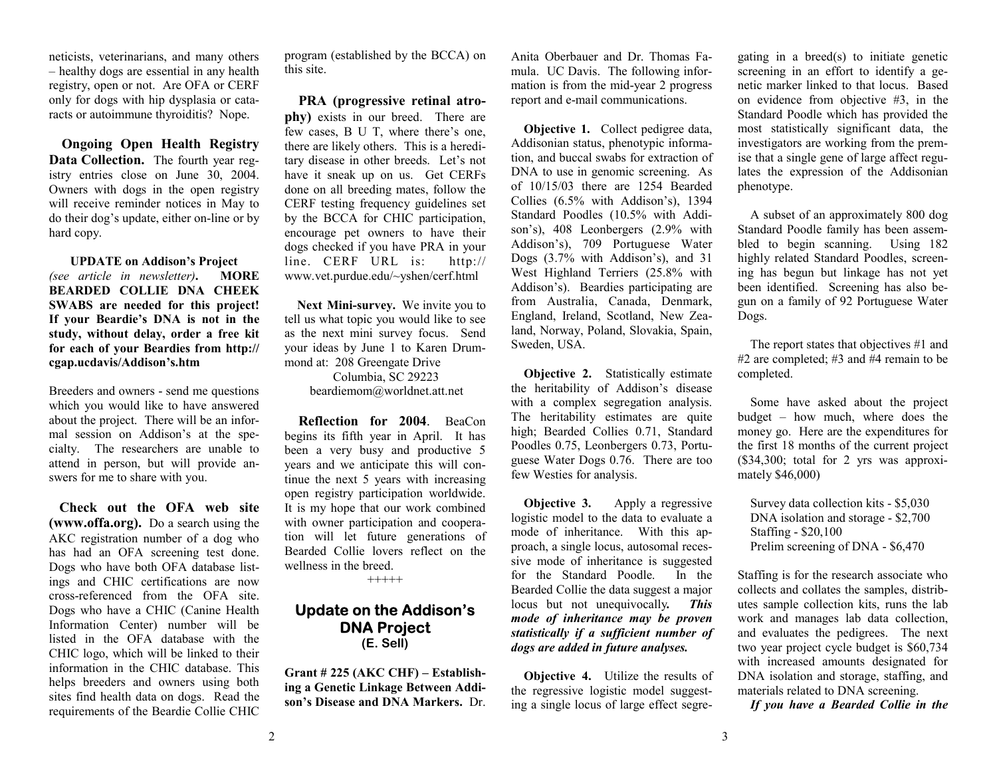neticists, veterinarians, and many others – healthy dogs are essential in any health registry, open or not. Are OFA or CERF only for dogs with hip dysplasia or cataracts or autoimmune thyroiditis? Nope.

**Ongoing Open Health Registry Data Collection.** The fourth year registry entries close on June 30, 2004. Owners with dogs in the open registry will receive reminder notices in May to do their dog's update, either on-line or by hard copy.

**UPDATE on Addison's Project**  *(see article in newsletter)***. MORE BEARDED COLLIE DNA CHEEK SWABS are needed for this project! If your Beardie's DNA is not in the study, without delay, order a free kit for each of your Beardies from http:// cgap.ucdavis/Addison's.htm** 

Breeders and owners - send me questions which you would like to have answered about the project. There will be an informal session on Addison's at the specialty. The researchers are unable to attend in person, but will provide answers for me to share with you.

 **Check out the OFA web site (www.offa.org).** Do a search using the AKC registration number of a dog who has had an OFA screening test done. Dogs who have both OFA database listings and CHIC certifications are now cross-referenced from the OFA site. Dogs who have a CHIC (Canine Health Information Center) number will be listed in the OFA database with the CHIC logo, which will be linked to their information in the CHIC database. This helps breeders and owners using both sites find health data on dogs. Read the requirements of the Beardie Collie CHIC

program (established by the BCCA) on this site.

 **PRA (progressive retinal atrophy)** exists in our breed. There are few cases, B U T, where there's one, there are likely others. This is a hereditary disease in other breeds. Let's not have it sneak up on us. Get CERFs done on all breeding mates, follow the CERF testing frequency guidelines set by the BCCA for CHIC participation, encourage pet owners to have their dogs checked if you have PRA in your line. CERF URL is: http:// www.vet.purdue.edu/~yshen/cerf.html

 **Next Mini-survey.** We invite you to tell us what topic you would like to see as the next mini survey focus. Send your ideas by June 1 to Karen Drummond at: 208 Greengate Drive

> Columbia, SC 29223 beardiemom@worldnet.att.net

 **Reflection for 2004**. BeaCon begins its fifth year in April. It has been a very busy and productive 5 years and we anticipate this will continue the next 5 years with increasing open registry participation worldwide. It is my hope that our work combined with owner participation and cooperation will let future generations of Bearded Collie lovers reflect on the wellness in the breed.

+++++

## **Update on the Addison's DNA Project (E. Sell)**

**Grant # 225 (AKC CHF) – Establishing a Genetic Linkage Between Addison's Disease and DNA Markers.** Dr. Anita Oberbauer and Dr. Thomas Famula. UC Davis. The following information is from the mid-year 2 progress report and e-mail communications.

**Objective 1.** Collect pedigree data, Addisonian status, phenotypic information, and buccal swabs for extraction of DNA to use in genomic screening. As of 10/15/03 there are 1254 Bearded Collies (6.5% with Addison's), 1394 Standard Poodles (10.5% with Addison's), 408 Leonbergers (2.9% with Addison's), 709 Portuguese Water Dogs (3.7% with Addison's), and 31 West Highland Terriers (25.8% with Addison's). Beardies participating are from Australia, Canada, Denmark, England, Ireland, Scotland, New Zealand, Norway, Poland, Slovakia, Spain, Sweden, USA.

**Objective 2.** Statistically estimate the heritability of Addison's disease with a complex segregation analysis. The heritability estimates are quite high; Bearded Collies 0.71, Standard Poodles 0.75, Leonbergers 0.73, Portuguese Water Dogs 0.76. There are too few Westies for analysis.

**Objective 3.** Apply a regressive logistic model to the data to evaluate a mode of inheritance. With this approach, a single locus, autosomal recessive mode of inheritance is suggested for the Standard Poodle. In the Bearded Collie the data suggest a major locus but not unequivocally*. This mode of inheritance may be proven statistically if a sufficient number of dogs are added in future analyses.* 

**Objective 4.** Utilize the results of the regressive logistic model suggesting a single locus of large effect segregating in a breed(s) to initiate genetic screening in an effort to identify a genetic marker linked to that locus. Based on evidence from objective #3, in the Standard Poodle which has provided the most statistically significant data, the investigators are working from the premise that a single gene of large affect regulates the expression of the Addisonian phenotype.

 A subset of an approximately 800 dog Standard Poodle family has been assembled to begin scanning. Using 182 highly related Standard Poodles, screening has begun but linkage has not yet been identified. Screening has also begun on a family of 92 Portuguese Water Dogs.

 The report states that objectives #1 and #2 are completed; #3 and #4 remain to be completed.

 Some have asked about the project budget – how much, where does the money go. Here are the expenditures for the first 18 months of the current project (\$34,300; total for 2 yrs was approximately \$46,000)

 Survey data collection kits - \$5,030 DNA isolation and storage - \$2,700 Staffing - \$20,100 Prelim screening of DNA - \$6,470

Staffing is for the research associate who collects and collates the samples, distributes sample collection kits, runs the lab work and manages lab data collection, and evaluates the pedigrees. The next two year project cycle budget is \$60,734 with increased amounts designated for DNA isolation and storage, staffing, and materials related to DNA screening.

*If you have a Bearded Collie in the*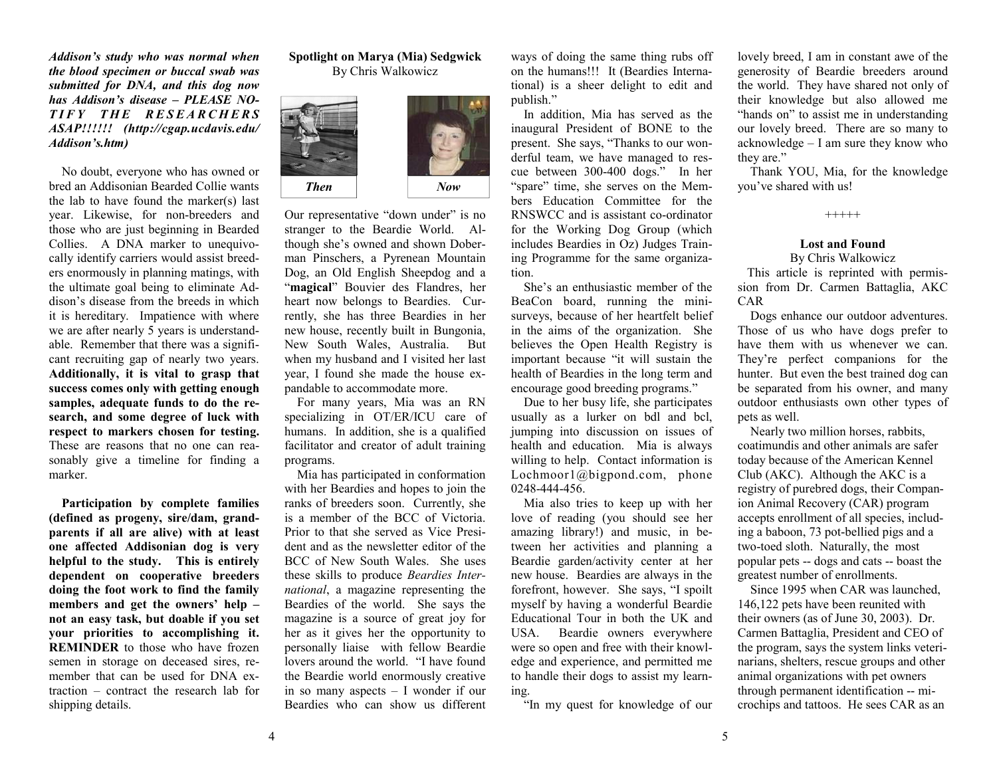*Addison's study who was normal when the blood specimen or buccal swab was submitted for DNA, and this dog now has Addison's disease – PLEASE NO-*TIFY THE RESEARCHERS *ASAP!!!!!! (http://cgap.ucdavis.edu/ Addison's.htm)* 

No doubt, everyone who has owned or bred an Addisonian Bearded Collie wants the lab to have found the marker(s) last year. Likewise, for non-breeders and those who are just beginning in Bearded Collies. A DNA marker to unequivocally identify carriers would assist breeders enormously in planning matings, with the ultimate goal being to eliminate Addison's disease from the breeds in which it is hereditary. Impatience with where we are after nearly 5 years is understandable. Remember that there was a significant recruiting gap of nearly two years. **Additionally, it is vital to grasp that success comes only with getting enough samples, adequate funds to do the research, and some degree of luck with respect to markers chosen for testing.**  These are reasons that no one can reasonably give a timeline for finding a marker.

**Participation by complete families (defined as progeny, sire/dam, grandparents if all are alive) with at least one affected Addisonian dog is very helpful to the study. This is entirely dependent on cooperative breeders doing the foot work to find the family members and get the owners' help – not an easy task, but doable if you set your priorities to accomplishing it. REMINDER** to those who have frozen semen in storage on deceased sires, remember that can be used for DNA extraction – contract the research lab for shipping details.

## **Spotlight on Marya (Mia) Sedgwick**  By Chris Walkowicz



Our representative "down under" is no stranger to the Beardie World. Although she's owned and shown Doberman Pinschers, a Pyrenean Mountain Dog, an Old English Sheepdog and a "**magical**" Bouvier des Flandres, her heart now belongs to Beardies. Currently, she has three Beardies in her new house, recently built in Bungonia, New South Wales, Australia. But when my husband and I visited her last year, I found she made the house expandable to accommodate more.

 For many years, Mia was an RN specializing in OT/ER/ICU care of humans. In addition, she is a qualified facilitator and creator of adult training programs.

 Mia has participated in conformation with her Beardies and hopes to join the ranks of breeders soon. Currently, she is a member of the BCC of Victoria. Prior to that she served as Vice President and as the newsletter editor of the BCC of New South Wales. She uses these skills to produce *Beardies International*, a magazine representing the Beardies of the world. She says the magazine is a source of great joy for her as it gives her the opportunity to personally liaise with fellow Beardie lovers around the world. "I have found the Beardie world enormously creative in so many aspects – I wonder if our Beardies who can show us different

ways of doing the same thing rubs off on the humans!!! It (Beardies International) is a sheer delight to edit and publish."

 In addition, Mia has served as the inaugural President of BONE to the present. She says, "Thanks to our wonderful team, we have managed to rescue between 300-400 dogs." In her "spare" time, she serves on the Members Education Committee for the RNSWCC and is assistant co-ordinator for the Working Dog Group (which includes Beardies in Oz) Judges Training Programme for the same organization.

 She's an enthusiastic member of the BeaCon board, running the minisurveys, because of her heartfelt belief in the aims of the organization. She believes the Open Health Registry is important because "it will sustain the health of Beardies in the long term and encourage good breeding programs."

 Due to her busy life, she participates usually as a lurker on bdl and bcl, jumping into discussion on issues of health and education. Mia is always willing to help. Contact information is Lochmoor1@bigpond.com, phone 0248-444-456.

 Mia also tries to keep up with her love of reading (you should see her amazing library!) and music, in between her activities and planning a Beardie garden/activity center at her new house. Beardies are always in the forefront, however. She says, "I spoilt myself by having a wonderful Beardie Educational Tour in both the UK and USA. Beardie owners everywhere were so open and free with their knowledge and experience, and permitted me to handle their dogs to assist my learning.

"In my quest for knowledge of our

lovely breed, I am in constant awe of the generosity of Beardie breeders around the world. They have shared not only of their knowledge but also allowed me "hands on" to assist me in understanding our lovely breed. There are so many to acknowledge – I am sure they know who they are."

 Thank YOU, Mia, for the knowledge you've shared with us!

+++++

### **Lost and Found** By Chris Walkowicz

 This article is reprinted with permission from Dr. Carmen Battaglia, AKC CAR

 Dogs enhance our outdoor adventures. Those of us who have dogs prefer to have them with us whenever we can. They're perfect companions for the hunter. But even the best trained dog can be separated from his owner, and many outdoor enthusiasts own other types of pets as well.

 Nearly two million horses, rabbits, coatimundis and other animals are safer today because of the American Kennel Club (AKC). Although the AKC is a registry of purebred dogs, their Companion Animal Recovery (CAR) program accepts enrollment of all species, including a baboon, 73 pot-bellied pigs and a two-toed sloth. Naturally, the most popular pets -- dogs and cats -- boast the greatest number of enrollments.

 Since 1995 when CAR was launched, 146,122 pets have been reunited with their owners (as of June 30, 2003). Dr. Carmen Battaglia, President and CEO of the program, says the system links veterinarians, shelters, rescue groups and other animal organizations with pet owners through permanent identification -- microchips and tattoos. He sees CAR as an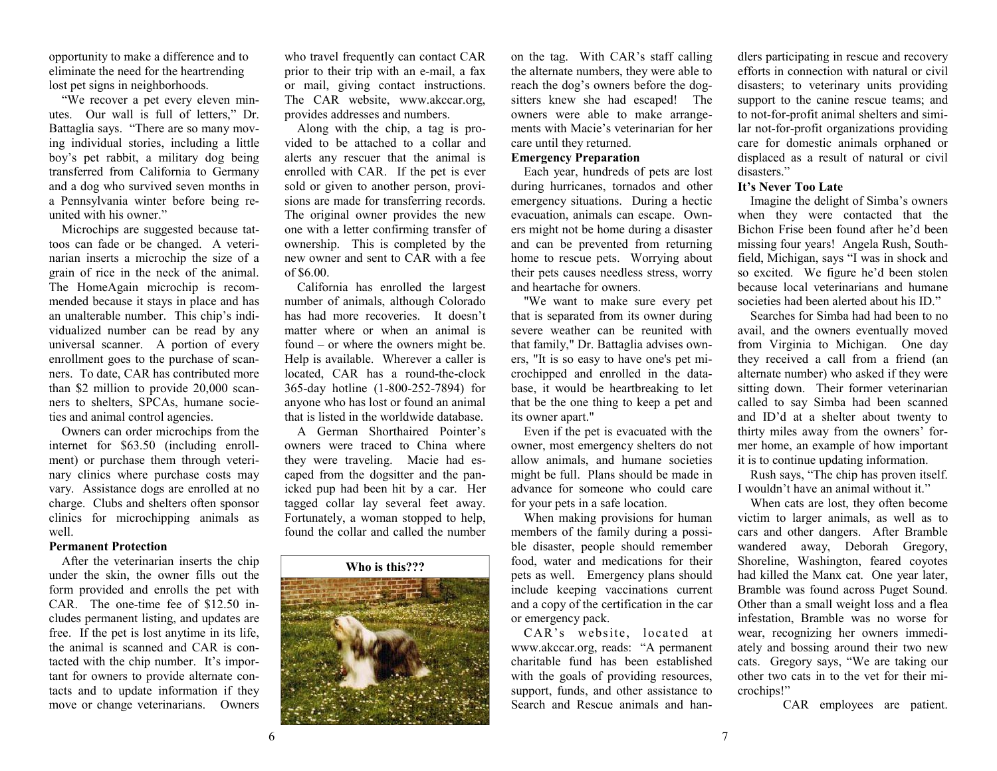opportunity to make a difference and to eliminate the need for the heartrending lost pet signs in neighborhoods.

 "We recover a pet every eleven minutes. Our wall is full of letters," Dr. Battaglia says. "There are so many moving individual stories, including a little boy's pet rabbit, a military dog being transferred from California to Germany and a dog who survived seven months in a Pennsylvania winter before being reunited with his owner."

 Microchips are suggested because tattoos can fade or be changed. A veterinarian inserts a microchip the size of a grain of rice in the neck of the animal. The HomeAgain microchip is recommended because it stays in place and has an unalterable number. This chip's individualized number can be read by any universal scanner. A portion of every enrollment goes to the purchase of scanners. To date, CAR has contributed more than \$2 million to provide 20,000 scanners to shelters, SPCAs, humane societies and animal control agencies.

 Owners can order microchips from the internet for \$63.50 (including enrollment) or purchase them through veterinary clinics where purchase costs may vary. Assistance dogs are enrolled at no charge. Clubs and shelters often sponsor clinics for microchipping animals as well.

## **Permanent Protection**

 After the veterinarian inserts the chip under the skin, the owner fills out the form provided and enrolls the pet with CAR. The one-time fee of \$12.50 includes permanent listing, and updates are free. If the pet is lost anytime in its life, the animal is scanned and CAR is contacted with the chip number. It's important for owners to provide alternate contacts and to update information if they move or change veterinarians. Owners

who travel frequently can contact CAR prior to their trip with an e-mail, a fax or mail, giving contact instructions. The CAR website, www.akccar.org, provides addresses and numbers.

 Along with the chip, a tag is provided to be attached to a collar and alerts any rescuer that the animal is enrolled with CAR. If the pet is ever sold or given to another person, provisions are made for transferring records. The original owner provides the new one with a letter confirming transfer of ownership. This is completed by the new owner and sent to CAR with a fee of \$6.00.

 California has enrolled the largest number of animals, although Colorado has had more recoveries. It doesn't matter where or when an animal is found – or where the owners might be. Help is available. Wherever a caller is located, CAR has a round-the-clock 365-day hotline (1-800-252-7894) for anyone who has lost or found an animal that is listed in the worldwide database.

 A German Shorthaired Pointer's owners were traced to China where they were traveling. Macie had escaped from the dogsitter and the panicked pup had been hit by a car. Her tagged collar lay several feet away. Fortunately, a woman stopped to help, found the collar and called the number



on the tag. With CAR's staff calling the alternate numbers, they were able to reach the dog's owners before the dogsitters knew she had escaped! The owners were able to make arrangements with Macie's veterinarian for her care until they returned.

## **Emergency Preparation**

 Each year, hundreds of pets are lost during hurricanes, tornados and other emergency situations. During a hectic evacuation, animals can escape. Owners might not be home during a disaster and can be prevented from returning home to rescue pets. Worrying about their pets causes needless stress, worry and heartache for owners.

 "We want to make sure every pet that is separated from its owner during severe weather can be reunited with that family," Dr. Battaglia advises owners, "It is so easy to have one's pet microchipped and enrolled in the database, it would be heartbreaking to let that be the one thing to keep a pet and its owner apart."

 Even if the pet is evacuated with the owner, most emergency shelters do not allow animals, and humane societies might be full. Plans should be made in advance for someone who could care for your pets in a safe location.

 When making provisions for human members of the family during a possible disaster, people should remember food, water and medications for their pets as well. Emergency plans should include keeping vaccinations current and a copy of the certification in the car or emergency pack.

 CAR's website, located at www.akccar.org, reads: "A permanent charitable fund has been established with the goals of providing resources, support, funds, and other assistance to Search and Rescue animals and handlers participating in rescue and recovery efforts in connection with natural or civil disasters; to veterinary units providing support to the canine rescue teams; and to not-for-profit animal shelters and similar not-for-profit organizations providing care for domestic animals orphaned or displaced as a result of natural or civil disasters."

## **It's Never Too Late**

 Imagine the delight of Simba's owners when they were contacted that the Bichon Frise been found after he'd been missing four years! Angela Rush, Southfield, Michigan, says "I was in shock and so excited. We figure he'd been stolen because local veterinarians and humane societies had been alerted about his ID."

 Searches for Simba had had been to no avail, and the owners eventually moved from Virginia to Michigan. One day they received a call from a friend (an alternate number) who asked if they were sitting down. Their former veterinarian called to say Simba had been scanned and ID'd at a shelter about twenty to thirty miles away from the owners' former home, an example of how important it is to continue updating information.

 Rush says, "The chip has proven itself. I wouldn't have an animal without it."

 When cats are lost, they often become victim to larger animals, as well as to cars and other dangers. After Bramble wandered away, Deborah Gregory, Shoreline, Washington, feared coyotes had killed the Manx cat. One year later, Bramble was found across Puget Sound. Other than a small weight loss and a flea infestation, Bramble was no worse for wear, recognizing her owners immediately and bossing around their two new cats. Gregory says, "We are taking our other two cats in to the vet for their microchips!"

CAR employees are patient.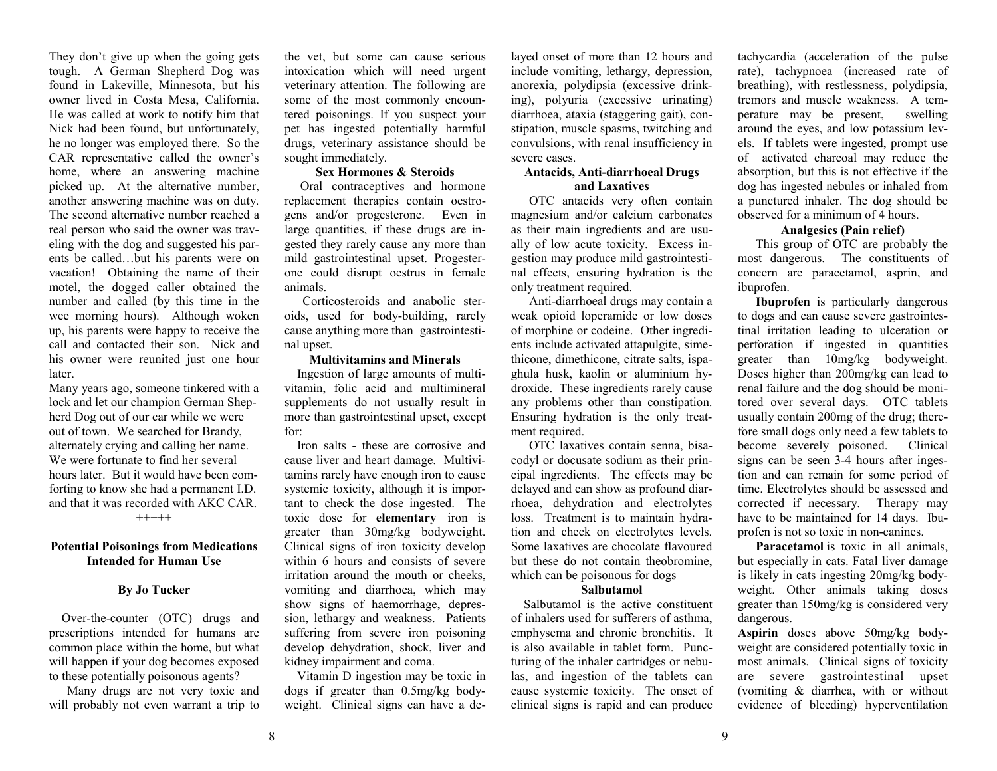They don't give up when the going gets tough. A German Shepherd Dog was found in Lakeville, Minnesota, but his owner lived in Costa Mesa, California. He was called at work to notify him that Nick had been found, but unfortunately, he no longer was employed there. So the CAR representative called the owner's home, where an answering machine picked up. At the alternative number, another answering machine was on duty. The second alternative number reached a real person who said the owner was traveling with the dog and suggested his parents be called…but his parents were on vacation! Obtaining the name of their motel, the dogged caller obtained the number and called (by this time in the wee morning hours). Although woken up, his parents were happy to receive the call and contacted their son. Nick and his owner were reunited just one hour later.

Many years ago, someone tinkered with a lock and let our champion German Shepherd Dog out of our car while we were out of town. We searched for Brandy, alternately crying and calling her name. We were fortunate to find her several hours later. But it would have been comforting to know she had a permanent I.D. and that it was recorded with AKC CAR. +++++

## **Potential Poisonings from Medications Intended for Human Use**

### **By Jo Tucker**

Over-the-counter (OTC) drugs and prescriptions intended for humans are common place within the home, but what will happen if your dog becomes exposed to these potentially poisonous agents?

Many drugs are not very toxic and will probably not even warrant a trip to the vet, but some can cause serious intoxication which will need urgent veterinary attention. The following are some of the most commonly encountered poisonings. If you suspect your pet has ingested potentially harmful drugs, veterinary assistance should be sought immediately.

## **Sex Hormones & Steroids**

Oral contraceptives and hormone replacement therapies contain oestrogens and/or progesterone. Even in large quantities, if these drugs are ingested they rarely cause any more than mild gastrointestinal upset. Progesterone could disrupt oestrus in female animals.

Corticosteroids and anabolic steroids, used for body-building, rarely cause anything more than gastrointestinal upset.

## **Multivitamins and Minerals**

 Ingestion of large amounts of multivitamin, folic acid and multimineral supplements do not usually result in more than gastrointestinal upset, except for:

 Iron salts - these are corrosive and cause liver and heart damage. Multivitamins rarely have enough iron to cause systemic toxicity, although it is important to check the dose ingested. The toxic dose for **elementary** iron is greater than 30mg/kg bodyweight. Clinical signs of iron toxicity develop within 6 hours and consists of severe irritation around the mouth or cheeks, vomiting and diarrhoea, which may show signs of haemorrhage, depression, lethargy and weakness. Patients suffering from severe iron poisoning develop dehydration, shock, liver and kidney impairment and coma.

 Vitamin D ingestion may be toxic in dogs if greater than 0.5mg/kg bodyweight. Clinical signs can have a delayed onset of more than 12 hours and include vomiting, lethargy, depression, anorexia, polydipsia (excessive drink diarrhoea, ataxia (staggering gait), constipation, muscle spasms, twitching and convulsions, with renal insufficiency in severe cases.

# **Antacids, Anti-diarrhoeal Drugs and Laxatives**

OTC antacids very often contain magnesium and/or calcium carbonates as their main ingredients and are usu ally of low acute toxicity. Excess in gestion may produce mild gastrointesti-

nal effects, ensuring hydration is the only treatment required.<br>Anti-diarrhoeal drugs may contain a weak opioid loperamide or low doses of morphine or codeine. Other ingredients include activated attapulgite, sime thicone, dimethicone, citrate salts, ispa ghula husk, kaolin or aluminium hy droxide. These ingredients rarely cause any problems other than constipation. Ensuring hydration is the only treat ment required. OTC laxatives contain senna, bisa-

codyl or docusate sodium as their prin cipal ingredients. The effects may be delayed and can show as profound diar rhoea, dehydration and electrolytes loss. Treatment is to maintain hydra tion and check on electrolytes levels. Some laxatives are chocolate flavoured but these do not contain theobromine, which can be poisonous for dogs

### **Salbutamol**

Salbutamol is the active constituent of inhalers used for sufferers of asthma, emphysema and chronic bronchitis. It is also available in tablet form. Puncturing of the inhaler cartridges or nebu las, and ingestion of the tablets can cause systemic toxicity. The onset of clinical signs is rapid and can produce

tachycardia (acceleration of the pulse rate), tachypnoea (increased rate of breathing), with restlessness, polydipsia, tremors and muscle weakness. A temperature may be present, swelling around the eyes, and low potassium levels. If tablets were ingested, prompt use of activated charcoal may reduce the absorption, but this is not effective if the dog has ingested nebules or inhaled from a punctured inhaler. The dog should be observed for a minimum of 4 hours.

## **Analgesics (Pain relief)**

This group of OTC are probably the most dangerous. The constituents of concern are paracetamol, asprin, and ibuprofen.

**Ibuprofen** is particularly dangerous to dogs and can cause severe gastrointestinal irritation leading to ulceration or perforation if ingested in quantities greater than 10mg/kg bodyweight. Doses higher than 200mg/kg can lead to renal failure and the dog should be monitored over several days. OTC tablets usually contain 200mg of the drug; therefore small dogs only need a few tablets to become severely poisoned. Clinical signs can be seen 3-4 hours after ingestion and can remain for some period of time. Electrolytes should be assessed and corrected if necessary. Therapy may have to be maintained for 14 days. Ibuprofen is not so toxic in non-canines.

**Paracetamol** is toxic in all animals, but especially in cats. Fatal liver damage is likely in cats ingesting 20mg/kg bodyweight. Other animals taking doses greater than 150mg/kg is considered very dangerous.

**Aspirin** doses above 50mg/kg bodyweight are considered potentially toxic in most animals. Clinical signs of toxicity are severe gastrointestinal upset (vomiting & diarrhea, with or without evidence of bleeding) hyperventilation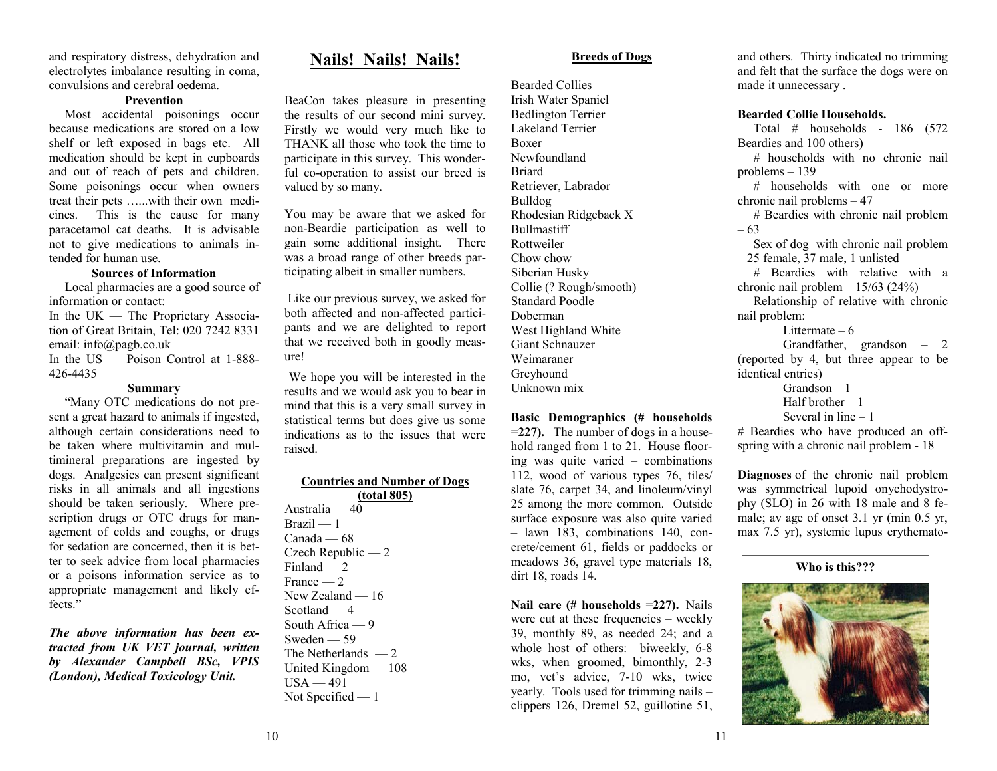and respiratory distress, dehydration and electrolytes imbalance resulting in coma, convulsions and cerebral oedema.

### **Prevention**

 Most accidental poisonings occur because medications are stored on a low shelf or left exposed in bags etc. All medication should be kept in cupboards and out of reach of pets and children. Some poisonings occur when owners treat their pets …...with their own medicines. This is the cause for many paracetamol cat deaths. It is advisable not to give medications to animals intended for human use.

## **Sources of Information**

 Local pharmacies are a good source of information or contact: In the UK — The Proprietary Association of Great Britain, Tel: 020 7242 8331 email: info@pagb.co.uk

In the US — Poison Control at 1-888-426-4435

## **Summary**

 "Many OTC medications do not present a great hazard to animals if ingested, although certain considerations need to be taken where multivitamin and multimineral preparations are ingested by dogs. Analgesics can present significant risks in all animals and all ingestions should be taken seriously. Where prescription drugs or OTC drugs for management of colds and coughs, or drugs for sedation are concerned, then it is better to seek advice from local pharmacies or a poisons information service as to appropriate management and likely effects<sup>"</sup>

*The above information has been extracted from UK VET journal, written by Alexander Campbell BSc, VPIS (London), Medical Toxicology Unit.*

## **Nails! Nails! Nails!**

BeaCon takes pleasure in presenting the results of our second mini survey. Firstly we would very much like to THANK all those who took the time to participate in this survey. This wonder-

ful co-operation to assist our breed is valued by so many. You may be aware that we asked for non-Beardie participation as well to gain some additional insight. There was a broad range of other breeds par-

ticipating albeit in smaller numbers. Like our previous survey, we asked for both affected and non-affected partici pants and we are delighted to report that we received both in goodly meas-

ure! We hope you will be interested in the results and we would ask you to bear in mind that this is a very small survey in statistical terms but does give us some indications as to the issues that were raised.

## **Countries and Number of Dogs (total 805)**

Australia — 40 Brazil — 1 Canada — 68 Czech Republic — 2 Finland  $-2$ France — 2 New Zealand — 16 Scotland — 4 South Africa — 9 Sweden — 59 The Netherlands  $-2$ United Kingdom — 108  $USA - 491$ Not Specified — 1

### **Breeds of Dogs**

Bearded Collies Irish Water Spaniel Bedlington Terrier Lakeland Terrier Boxer Newfoundland Briard Retriever, Labrador Bulldog Rhodesian Ridgeback X Bullmastiff Rottweiler Chow chow Siberian Husky Collie (? Rough/smooth) Standard Poodle Doberman West Highland White Giant Schnauzer Weimaraner Greyhound Unknown mix

**Basic Demographics (# households =227).** The number of dogs in a household ranged from 1 to 21. House flooring was quite varied – combinations 112, wood of various types 76, tiles/ slate 76, carpet 34, and linoleum/vinyl 25 among the more common. Outside surface exposure was also quite varied – lawn 183, combinations 140, concrete/cement 61, fields or paddocks or meadows 36, gravel type materials 18, dirt 18, roads 14.

**Nail care (# households =227).** Nails were cut at these frequencies – weekly 39, monthly 89, as needed 24; and a whole host of others: biweekly, 6-8 wks, when groomed, bimonthly, 2-3 mo, vet's advice, 7-10 wks, twice yearly. Tools used for trimming nails – clippers 126, Dremel 52, guillotine 51,

and others. Thirty indicated no trimming and felt that the surface the dogs were on made it unnecessary .

#### **Bearded Collie Households.**

 Total # households - 186 (572 Beardies and 100 others) # households with no chronic nail problems – 139 # households with one or more chronic nail problems – 47 # Beardies with chronic nail problem – 63 Sex of dog with chronic nail problem – 25 female, 37 male, 1 unlisted # Beardies with relative with a chronic nail problem – 15/63 (24%) Relationship of relative with chronic nail problem: Littermate  $-6$  Grandfather, grandson – 2 (reported by 4, but three appear to be identical entries) Grandson – 1 Half brother  $-1$  Several in line – 1 # Beardies who have produced an offspring with a chronic nail problem - 18

**Diagnoses** of the chronic nail problem was symmetrical lupoid onychodystrophy (SLO) in 26 with 18 male and 8 female; av age of onset 3.1 yr (min 0.5 yr, max 7.5 yr), systemic lupus erythemato-

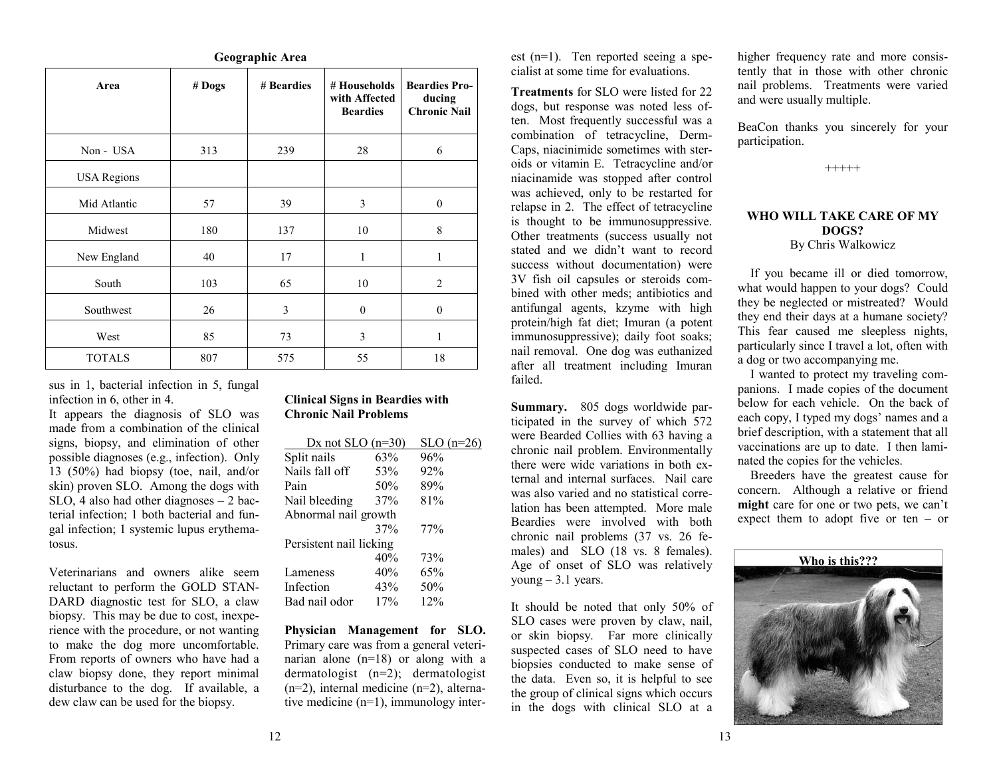|                                                                                                                                                                                                                                                                                                                                                                                                                                                                                                                                                                                                                                                                                                                                                                                                                                                                                                                          |        |                                                                                                  |                                                                                                                                                                                                                 |                                                                                                                                                                                                                                                                                                                                          | cialist at some time for evaluations.                                                                                                                                                                                                                                                                                                                                                                                                                                                                                                                                                                                                                                                                                                                                                                          |
|--------------------------------------------------------------------------------------------------------------------------------------------------------------------------------------------------------------------------------------------------------------------------------------------------------------------------------------------------------------------------------------------------------------------------------------------------------------------------------------------------------------------------------------------------------------------------------------------------------------------------------------------------------------------------------------------------------------------------------------------------------------------------------------------------------------------------------------------------------------------------------------------------------------------------|--------|--------------------------------------------------------------------------------------------------|-----------------------------------------------------------------------------------------------------------------------------------------------------------------------------------------------------------------|------------------------------------------------------------------------------------------------------------------------------------------------------------------------------------------------------------------------------------------------------------------------------------------------------------------------------------------|----------------------------------------------------------------------------------------------------------------------------------------------------------------------------------------------------------------------------------------------------------------------------------------------------------------------------------------------------------------------------------------------------------------------------------------------------------------------------------------------------------------------------------------------------------------------------------------------------------------------------------------------------------------------------------------------------------------------------------------------------------------------------------------------------------------|
| Area                                                                                                                                                                                                                                                                                                                                                                                                                                                                                                                                                                                                                                                                                                                                                                                                                                                                                                                     | # Dogs | # Beardies                                                                                       | # Households<br>with Affected<br><b>Beardies</b>                                                                                                                                                                | <b>Beardies Pro-</b><br>ducing<br><b>Chronic Nail</b>                                                                                                                                                                                                                                                                                    | Treatments for SLO were listed for 22<br>dogs, but response was noted less of-<br>ten. Most frequently successful was a<br>combination of tetracycline, Derm-                                                                                                                                                                                                                                                                                                                                                                                                                                                                                                                                                                                                                                                  |
| Non - USA                                                                                                                                                                                                                                                                                                                                                                                                                                                                                                                                                                                                                                                                                                                                                                                                                                                                                                                | 313    | 239                                                                                              | 28                                                                                                                                                                                                              | 6                                                                                                                                                                                                                                                                                                                                        | Caps, niacinimide sometimes with ster-                                                                                                                                                                                                                                                                                                                                                                                                                                                                                                                                                                                                                                                                                                                                                                         |
| <b>USA Regions</b>                                                                                                                                                                                                                                                                                                                                                                                                                                                                                                                                                                                                                                                                                                                                                                                                                                                                                                       |        |                                                                                                  |                                                                                                                                                                                                                 |                                                                                                                                                                                                                                                                                                                                          | oids or vitamin E. Tetracycline and/or<br>niacinamide was stopped after control                                                                                                                                                                                                                                                                                                                                                                                                                                                                                                                                                                                                                                                                                                                                |
| Mid Atlantic                                                                                                                                                                                                                                                                                                                                                                                                                                                                                                                                                                                                                                                                                                                                                                                                                                                                                                             | 57     | 39                                                                                               | $\mathfrak{Z}$                                                                                                                                                                                                  | $\boldsymbol{0}$                                                                                                                                                                                                                                                                                                                         | was achieved, only to be restarted for<br>relapse in 2. The effect of tetracycline                                                                                                                                                                                                                                                                                                                                                                                                                                                                                                                                                                                                                                                                                                                             |
| Midwest                                                                                                                                                                                                                                                                                                                                                                                                                                                                                                                                                                                                                                                                                                                                                                                                                                                                                                                  | 180    | 137                                                                                              | 10                                                                                                                                                                                                              | $\,$ 8 $\,$                                                                                                                                                                                                                                                                                                                              | is thought to be immunosuppressive.<br>Other treatments (success usually not                                                                                                                                                                                                                                                                                                                                                                                                                                                                                                                                                                                                                                                                                                                                   |
| New England                                                                                                                                                                                                                                                                                                                                                                                                                                                                                                                                                                                                                                                                                                                                                                                                                                                                                                              | 40     | 17                                                                                               | $\mathbf{1}$                                                                                                                                                                                                    | $\mathbf{1}$                                                                                                                                                                                                                                                                                                                             | stated and we didn't want to record<br>success without documentation) were                                                                                                                                                                                                                                                                                                                                                                                                                                                                                                                                                                                                                                                                                                                                     |
| South                                                                                                                                                                                                                                                                                                                                                                                                                                                                                                                                                                                                                                                                                                                                                                                                                                                                                                                    | 103    | 65                                                                                               | 10                                                                                                                                                                                                              | $\overline{c}$                                                                                                                                                                                                                                                                                                                           | 3V fish oil capsules or steroids com-<br>bined with other meds; antibiotics and                                                                                                                                                                                                                                                                                                                                                                                                                                                                                                                                                                                                                                                                                                                                |
| Southwest                                                                                                                                                                                                                                                                                                                                                                                                                                                                                                                                                                                                                                                                                                                                                                                                                                                                                                                | 26     | $\mathfrak{Z}$                                                                                   | $\boldsymbol{0}$                                                                                                                                                                                                | $\boldsymbol{0}$                                                                                                                                                                                                                                                                                                                         | antifungal agents, kzyme with high<br>protein/high fat diet; Imuran (a potent                                                                                                                                                                                                                                                                                                                                                                                                                                                                                                                                                                                                                                                                                                                                  |
| West                                                                                                                                                                                                                                                                                                                                                                                                                                                                                                                                                                                                                                                                                                                                                                                                                                                                                                                     | 85     | 73                                                                                               | 3                                                                                                                                                                                                               | $\mathbf{1}$                                                                                                                                                                                                                                                                                                                             | immunosuppressive); daily foot soaks;                                                                                                                                                                                                                                                                                                                                                                                                                                                                                                                                                                                                                                                                                                                                                                          |
| <b>TOTALS</b>                                                                                                                                                                                                                                                                                                                                                                                                                                                                                                                                                                                                                                                                                                                                                                                                                                                                                                            | 807    | 575                                                                                              | 55                                                                                                                                                                                                              | 18                                                                                                                                                                                                                                                                                                                                       | nail removal. One dog was euthanized<br>after all treatment including Imuran<br>failed.                                                                                                                                                                                                                                                                                                                                                                                                                                                                                                                                                                                                                                                                                                                        |
| sus in 1, bacterial infection in 5, fungal<br>infection in 6, other in 4.<br>It appears the diagnosis of SLO was<br>made from a combination of the clinical<br>signs, biopsy, and elimination of other<br>possible diagnoses (e.g., infection). Only<br>13 (50%) had biopsy (toe, nail, and/or<br>skin) proven SLO. Among the dogs with<br>$SLO$ , 4 also had other diagnoses $-2$ bac-<br>terial infection; 1 both bacterial and fun-<br>gal infection; 1 systemic lupus erythema-<br>tosus.<br>Veterinarians and owners alike seem<br>reluctant to perform the GOLD STAN-<br>DARD diagnostic test for SLO, a claw<br>biopsy. This may be due to cost, inexpe-<br>rience with the procedure, or not wanting<br>to make the dog more uncomfortable.<br>From reports of owners who have had a<br>claw biopsy done, they report minimal<br>disturbance to the dog. If available, a<br>dew claw can be used for the biopsy. |        | Split nails<br>Nails fall off<br>Pain<br>Nail bleeding<br>Lameness<br>Infection<br>Bad nail odor | <b>Clinical Signs in Beardies with</b><br><b>Chronic Nail Problems</b><br>Dx not SLO $(n=30)$<br>63%<br>53%<br>50%<br>37%<br>Abnormal nail growth<br>37%<br>Persistent nail licking<br>40%<br>40%<br>43%<br>17% | $SLO(n=26)$<br>96%<br>92%<br>89%<br>81%<br>77%<br>73%<br>65%<br>$50\%$<br>12%<br>Physician Management for SLO.<br>Primary care was from a general veteri-<br>narian alone (n=18) or along with a<br>dermatologist $(n=2)$ ; dermatologist<br>$(n=2)$ , internal medicine $(n=2)$ , alterna-<br>tive medicine $(n=1)$ , immunology inter- | Summary. 805 dogs worldwide par-<br>ticipated in the survey of which 572<br>were Bearded Collies with 63 having a<br>chronic nail problem. Environmentally<br>there were wide variations in both ex-<br>ternal and internal surfaces. Nail care<br>was also varied and no statistical corre-<br>lation has been attempted. More male<br>Beardies were involved with both<br>chronic nail problems (37 vs. 26 fe-<br>males) and SLO (18 vs. 8 females).<br>Age of onset of SLO was relatively<br>young $-3.1$ years.<br>It should be noted that only 50% of<br>SLO cases were proven by claw, nail,<br>or skin biopsy. Far more clinically<br>suspected cases of SLO need to have<br>biopsies conducted to make sense of<br>the data. Even so, it is helpful to see<br>the group of clinical signs which occurs |

**Geographic Area**

## **Clinical Signs in Beardies with Chronic Nail Problems**

| Dx not SLO $(n=30)$     |     | $SLO(n=26)$ |
|-------------------------|-----|-------------|
| Split nails             | 63% | 96%         |
| Nails fall off          | 53% | 92%         |
| Pain                    | 50% | 89%         |
| Nail bleeding           | 37% | 81%         |
| Abnormal nail growth    |     |             |
|                         | 37% | 77%         |
| Persistent nail licking |     |             |
|                         | 40% | 73%         |
| Lameness                | 40% | 65%         |
| Infection               | 43% | 50%         |
| Bad nail odor           | 17% | 12%         |

est (n=1). Ten reported seeing a spe cialist at some time for evaluations.

higher frequency rate and more consistently that in those with other chronic nail problems. Treatments were varied and were usually multiple.

BeaCon thanks you sincerely for your participation.

+++++

## **WHO WILL TAKE CARE OF MY DOGS?** By Chris Walkowicz

 If you became ill or died tomorrow, what would happen to your dogs? Could they be neglected or mistreated? Would they end their days at a humane society? This fear caused me sleepless nights, particularly since I travel a lot, often with a dog or two accompanying me.

 I wanted to protect my traveling companions. I made copies of the document below for each vehicle. On the back of each copy, I typed my dogs' names and a brief description, with a statement that all vaccinations are up to date. I then laminated the copies for the vehicles.

 Breeders have the greatest cause for concern. Although a relative or friend **might** care for one or two pets, we can't expect them to adopt five or ten – or

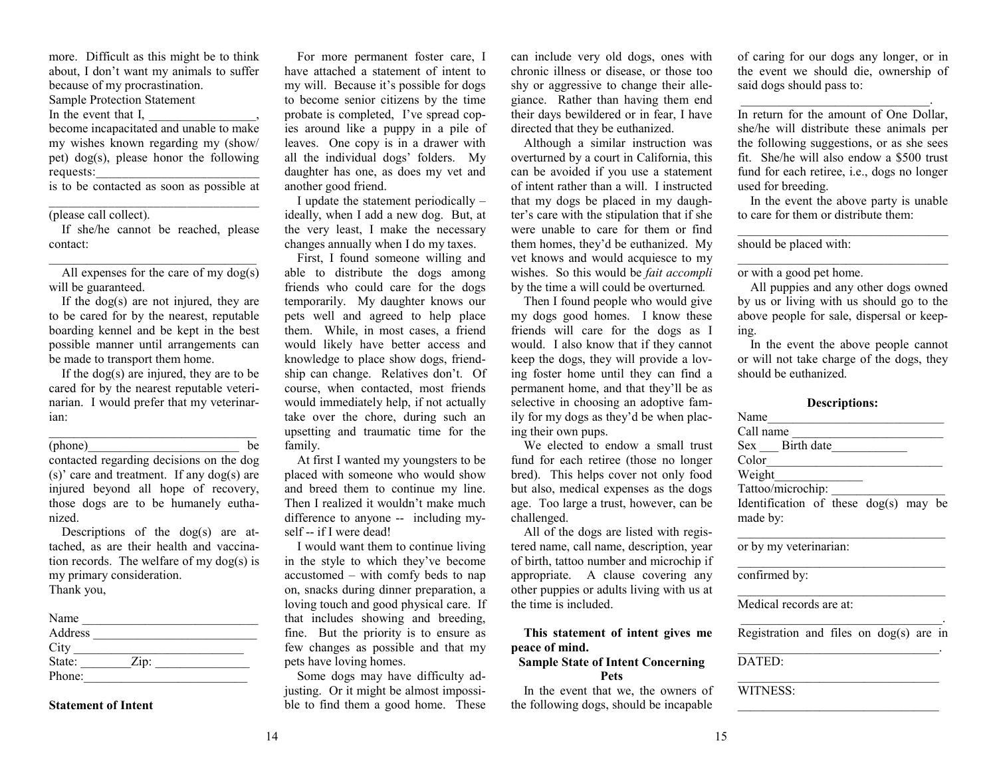more. Difficult as this might be to think about, I don't want my animals to suffer because of my procrastination. Sample Protection Statement

In the event that I,

become incapacitated and unable to make my wishes known regarding my (show/ pet) dog(s), please honor the following requests:

is to be contacted as soon as possible at \_\_\_\_\_\_\_\_\_\_\_\_\_\_\_\_\_\_\_\_\_\_\_\_\_\_\_\_\_\_\_\_

## (please call collect).

 If she/he cannot be reached, please contact:

All expenses for the care of my  $\log(s)$ will be guaranteed.

 If the dog(s) are not injured, they are to be cared for by the nearest, reputable boarding kennel and be kept in the best possible manner until arrangements can be made to transport them home.

 If the dog(s) are injured, they are to be cared for by the nearest reputable veterinarian. I would prefer that my veterinarian:

\_\_\_\_\_\_\_\_\_\_\_\_\_\_\_\_\_\_\_\_\_\_\_\_\_\_\_\_\_\_\_\_\_

(phone) be

contacted regarding decisions on the dog (s)' care and treatment. If any dog(s) are injured beyond all hope of recovery, those dogs are to be humanely euthanized.

 Descriptions of the dog(s) are attached, as are their health and vaccination records. The welfare of my dog(s) is my primary consideration. Thank you,

| Name    |                    |  |
|---------|--------------------|--|
| Address |                    |  |
| City    |                    |  |
| State:  | $\overline{Lip}$ : |  |
| Phone:  |                    |  |

**Statement of Intent** 

 For more permanent foster care, I have attached a statement of intent to my will. Because it's possible for dogs to become senior citizens by the time probate is completed, I've spread copies around like a puppy in a pile of leaves. One copy is in a drawer with all the individual dogs' folders. My daughter has one, as does my vet and another good friend.

 I update the statement periodically – ideally, when I add a new dog. But, at the very least, I make the necessary changes annually when I do my taxes.

 First, I found someone willing and able to distribute the dogs among friends who could care for the dogs temporarily. My daughter knows our pets well and agreed to help place them. While, in most cases, a friend would likely have better access and knowledge to place show dogs, friendship can change. Relatives don't. Of course, when contacted, most friends would immediately help, if not actually take over the chore, during such an upsetting and traumatic time for the family.

 At first I wanted my youngsters to be placed with someone who would show and breed them to continue my line. Then I realized it wouldn't make much difference to anyone -- including myself -- if I were dead!

 I would want them to continue living in the style to which they've become accustomed – with comfy beds to nap on, snacks during dinner preparation, a loving touch and good physical care. If that includes showing and breeding, fine. But the priority is to ensure as few changes as possible and that my pets have loving homes.

 Some dogs may have difficulty adjusting. Or it might be almost impossible to find them a good home. These can include very old dogs, ones with chronic illness or disease, or those too shy or aggressive to change their allegiance. Rather than having them end their days bewildered or in fear, I have directed that they be euthanized.

 Although a similar instruction was overturned by a court in California, this can be avoided if you use a statement of intent rather than a will. I instructed that my dogs be placed in my daughter's care with the stipulation that if she were unable to care for them or find them homes, they'd be euthanized. My vet knows and would acquiesce to my wishes. So this would be *fait accompli*  by the time a will could be overturned*.* 

 Then I found people who would give my dogs good homes. I know these friends will care for the dogs as I would. I also know that if they cannot keep the dogs, they will provide a loving foster home until they can find a permanent home, and that they'll be as selective in choosing an adoptive family for my dogs as they'd be when placing their own pups.

 We elected to endow a small trust fund for each retiree (those no longer bred). This helps cover not only food but also, medical expenses as the dogs age. Too large a trust, however, can be challenged.

 All of the dogs are listed with registered name, call name, description, year of birth, tattoo number and microchip if appropriate. A clause covering any other puppies or adults living with us at the time is included.

**This statement of intent gives me peace of mind.** 

## **Sample State of Intent Concerning Pets**

 In the event that we, the owners of the following dogs, should be incapable of caring for our dogs any longer, or in the event we should die, ownership of said dogs should pass to:

\_\_\_\_\_\_\_\_\_\_\_\_\_\_\_\_\_\_\_\_\_\_\_\_\_\_\_\_\_\_.

In return for the amount of One Dollar, she/he will distribute these animals per the following suggestions, or as she sees fit. She/he will also endow a \$500 trust fund for each retiree, i.e., dogs no longer used for breeding.

 In the event the above party is unable to care for them or distribute them:

should be placed with:

or with a good pet home.

 All puppies and any other dogs owned by us or living with us should go to the above people for sale, dispersal or keeping.

 In the event the above people cannot or will not take charge of the dogs, they should be euthanized.

## **Descriptions:**

| Name                                     |
|------------------------------------------|
| Call name                                |
| Sex Birth date                           |
| Color                                    |
| Weight                                   |
| Tattoo/microchip:                        |
| Identification of these $\log(s)$ may be |
| made by:                                 |
|                                          |
| or by my veterinarian:                   |

confirmed by:

Medical records are at:

 $\overline{\phantom{a}}$  , and the contribution of the contribution of the contribution of the contribution of the contribution of the contribution of the contribution of the contribution of the contribution of the contribution of the Registration and files on dog(s) are in  $\overline{\phantom{a}}$  , and the contribution of the contribution of the contribution of the contribution of the contribution of the contribution of the contribution of the contribution of the contribution of the contribution of the

\_\_\_\_\_\_\_\_\_\_\_\_\_\_\_\_\_\_\_\_\_\_\_\_\_\_\_\_\_\_\_\_

 $\mathcal{L}_\mathcal{L}$  , and the set of the set of the set of the set of the set of the set of the set of the set of the set of the set of the set of the set of the set of the set of the set of the set of the set of the set of th

DATED:

WITNESS: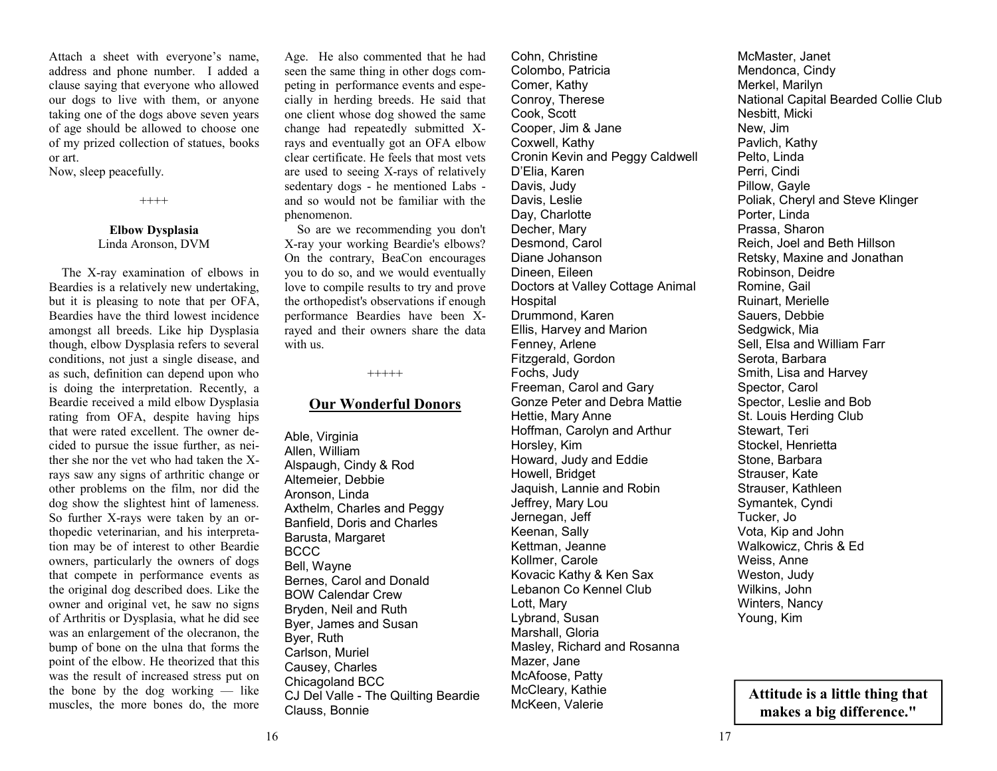Attach a sheet with everyone's name, address and phone number. I added a clause saying that everyone who allowed our dogs to live with them, or anyone taking one of the dogs above seven years of age should be allowed to choose one of my prized collection of statues, books or art.

Now, sleep peacefully.

++++

## **Elbow Dysplasia**  Linda Aronson, DVM

 The X-ray examination of elbows in Beardies is a relatively new undertaking, but it is pleasing to note that per OFA, Beardies have the third lowest incidence amongst all breeds. Like hip Dysplasia though, elbow Dysplasia refers to several conditions, not just a single disease, and as such, definition can depend upon who is doing the interpretation. Recently, a Beardie received a mild elbow Dysplasia rating from OFA, despite having hips that were rated excellent. The owner decided to pursue the issue further, as neither she nor the vet who had taken the Xrays saw any signs of arthritic change or other problems on the film, nor did the dog show the slightest hint of lameness. So further X-rays were taken by an orthopedic veterinarian, and his interpretation may be of interest to other Beardie owners, particularly the owners of dogs that compete in performance events as the original dog described does. Like the owner and original vet, he saw no signs of Arthritis or Dysplasia, what he did see was an enlargement of the olecranon, the bump of bone on the ulna that forms the point of the elbow. He theorized that this was the result of increased stress put on the bone by the dog working — like muscles, the more bones do, the more

Age. He also commented that he had seen the same thing in other dogs competing in performance events and especially in herding breeds. He said that one client whose dog showed the same change had repeatedly submitted Xrays and eventually got an OFA elbow clear certificate. He feels that most vets are used to seeing X-rays of relatively sedentary dogs - he mentioned Labs and so would not be familiar with the phenomenon.

 So are we recommending you don't X-ray your working Beardie's elbows? On the contrary, BeaCon encourages you to do so, and we would eventually love to compile results to try and prove the orthopedist's observations if enough performance Beardies have been Xrayed and their owners share the data with us.

+++++

## **Our Wonderful Donors**

Able, Virginia Allen, William Alspaugh, Cindy & Rod Altemeier, Debbie Aronson, Linda Axthelm, Charles and Peggy Banfield, Doris and Charles Barusta, Margaret BCCC Bell, Wayne Bernes, Carol and Donald BOW Calendar Crew Bryden, Neil and Ruth Byer, James and Susan Byer, Ruth Carlson, Muriel Causey, Charles Chicagoland BCC CJ Del Valle - The Quilting Beardie Clauss, Bonnie

Cohn, Christine Colombo, Patricia Comer, Kathy Conroy, Therese Cook, Scott Cooper, Jim & Jane Coxwell, Kathy Cronin Kevin and Peggy Caldwell D'Elia, Karen Davis, Judy Davis, Leslie Day, Charlotte Decher, Mary Desmond, Carol Diane Johanson Dineen, Eileen Doctors at Valley Cottage Animal Hospital Drummond, Karen Ellis, Harvey and Marion Fenney, Arlene Fitzgerald, Gordon Fochs, Judy Freeman, Carol and Gary Gonze Peter and Debra Mattie Hettie, Mary Anne Hoffman, Carolyn and Arthur Horsley, Kim Howard, Judy and Eddie Howell, Bridget Jaquish, Lannie and Robin Jeffrey, Mary Lou Jernegan, Jeff Keenan, Sally Kettman, Jeanne Kollmer, Carole Kovacic Kathy & Ken Sax Lebanon Co Kennel Club Lott, Mary Lybrand, Susan Marshall, Gloria Masley, Richard and Rosanna Mazer, Jane McAfoose, Patty McCleary, Kathie McKeen, Valerie

McMaster, Janet Mendonca, Cindy Merkel, Marilyn National Capital Bearded Collie Club Nesbitt, Micki New, Jim Pavlich, Kathy Pelto, Linda Perri, Cindi Pillow, Gayle Poliak, Cheryl and Steve Klinger Porter, Linda Prassa, Sharon Reich, Joel and Beth Hillson Retsky, Maxine and Jonathan Robinson, Deidre Romine, Gail Ruinart, Merielle Sauers, Debbie Sedgwick, Mia Sell, Elsa and William Farr Serota, Barbara Smith, Lisa and Harvey Spector, Carol Spector, Leslie and Bob St. Louis Herding Club Stewart, Teri Stockel, Henrietta Stone, Barbara Strauser, Kate Strauser, Kathleen Symantek, Cyndi Tucker, Jo Vota, Kip and John Walkowicz, Chris & Ed Weiss, Anne Weston, Judy Wilkins, John Winters, Nancy Young, Kim

**Attitude is a little thing that makes a big difference."**